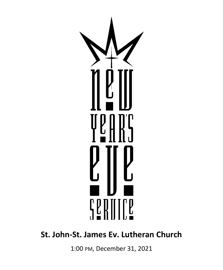

# **St. John-St. James Ev. Lutheran Church**

1:00 PM, December 31, 2021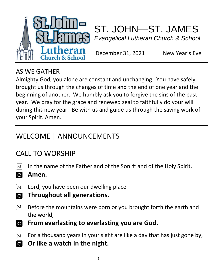



December 31, 2021 New Year's Eve

#### AS WE GATHER

Almighty God, you alone are constant and unchanging. You have safely brought us through the changes of time and the end of one year and the beginning of another. We humbly ask you to forgive the sins of the past year. We pray for the grace and renewed zeal to faithfully do your will during this new year. Be with us and guide us through the saving work of your Spirit. Amen.

# WELCOME | ANNOUNCEMENTS

## CALL TO WORSHIP

- $\lceil \text{M} \rceil$ In the name of the Father and of the Son  $\dagger$  and of the Holy Spirit.
- **a Amen.**
- $\lceil \text{M} \rceil$ Lord, you have been our dwelling place
- $\overline{\mathbf{c}}$ **Throughout all generations.**
- $|M|$ Before the mountains were born or you brought forth the earth and the world,
- **From everlasting to everlasting you are God.**  $\mathbf{C}$
- $\boxed{\text{M}}$ For a thousand years in your sight are like a day that has just gone by,
- **C Or like a watch in the night.**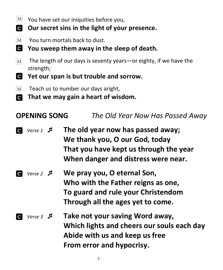- $|M|$ You have set our iniquities before you,
- **d Our secret sins in the light of your presence.**
- $|M|$ You turn mortals back to dust.
- $\mathbf{c}$ **You sweep them away in the sleep of death.**
- The length of our days is seventy years—or eighty, if we have the  $\lceil \text{M} \rceil$ strength;
- $\overline{\mathbf{C}}$ **Yet our span is but trouble and sorrow.**
- $\boxed{\text{M}}$ Teach us to number our days aright,
- **That we may gain a heart of wisdom. a**

# **OPENING SONG** *The Old Year Now Has Passed Away*

- *Verse 1*  **The old year now has passed away; We thank you, O our God, today That you have kept us through the year When danger and distress were near.**
- *Verse 2*  **We pray you, O eternal Son, Who with the Father reigns as one, To guard and rule your Christendom Through all the ages yet to come.**
- *Verse 3*  **Take not your saving Word away, Which lights and cheers our souls each day Abide with us and keep us free From error and hypocrisy.**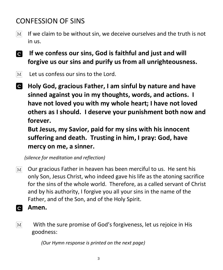# CONFESSION OF SINS

- If we claim to be without sin, we deceive ourselves and the truth is not  $M<sub>l</sub>$ in us.
- **If we confess our sins, God is faithful and just and will forgive us our sins and purify us from all unrighteousness.**
- Let us confess our sins to the Lord.  $|M|$
- **Holy God, gracious Father, I am sinful by nature and have sinned against you in my thoughts, words, and actions. I have not loved you with my whole heart; I have not loved others as I should. I deserve your punishment both now and forever.**

**But Jesus, my Savior, paid for my sins with his innocent suffering and death. Trusting in him, I pray: God, have mercy on me, a sinner.**

 *(silence for meditation and reflection)*

- Our gracious Father in heaven has been merciful to us. He sent his  $\boxed{\text{M}}$ only Son, Jesus Christ, who indeed gave his life as the atoning sacrifice for the sins of the whole world. Therefore, as a called servant of Christ and by his authority, I forgive you all your sins in the name of the Father, and of the Son, and of the Holy Spirit.
- **d Amen.**
- With the sure promise of God's forgiveness, let us rejoice in His  $M<sub>l</sub>$ goodness:

 *(Our Hymn response is printed on the next page)*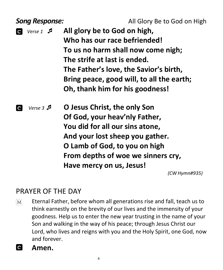**Song Response: All Glory Be to God on High** 

 *Verse 1*  **All glory be to God on high, Who has our race befriended! To us no harm shall now come nigh; The strife at last is ended. The Father's love, the Savior's birth, Bring peace, good will, to all the earth; Oh, thank him for his goodness!**

 *Verse 3*  **O Jesus Christ, the only Son Of God, your heav'nly Father, You did for all our sins atone, And your lost sheep you gather. O Lamb of God, to you on high From depths of woe we sinners cry, Have mercy on us, Jesus!**

*(CW Hymn#935)*

#### PRAYER OF THE DAY

- Eternal Father, before whom all generations rise and fall, teach us to  $\lceil \text{M} \rceil$ think earnestly on the brevity of our lives and the immensity of your goodness. Help us to enter the new year trusting in the name of your Son and walking in the way of his peace; through Jesus Christ our Lord, who lives and reigns with you and the Holy Spirit, one God, now and forever.
- **C Amen.**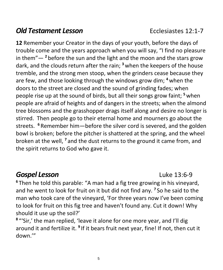#### **Old Testament Lesson Ecclesiastes 12:1-7**

**12** Remember your Creator in the days of your youth, before the days of trouble come and the years approach when you will say, "I find no pleasure in them"— **<sup>2</sup>** before the sun and the light and the moon and the stars grow dark, and the clouds return after the rain; **<sup>3</sup>** when the keepers of the house tremble, and the strong men stoop, when the grinders cease because they are few, and those looking through the windows grow dim; **<sup>4</sup>** when the doors to the street are closed and the sound of grinding fades; when people rise up at the sound of birds, but all their songs grow faint; **<sup>5</sup>** when people are afraid of heights and of dangers in the streets; when the almond tree blossoms and the grasshopper drags itself along and desire no longer is stirred. Then people go to their eternal home and mourners go about the streets. **<sup>6</sup>** Remember him—before the silver cord is severed, and the golden bowl is broken; before the pitcher is shattered at the spring, and the wheel broken at the well, **<sup>7</sup>** and the dust returns to the ground it came from, and the spirit returns to God who gave it.

#### *Gospel Lesson* Luke 13:6-9

**<sup>6</sup>** Then he told this parable: "A man had a fig tree growing in his vineyard, and he went to look for fruit on it but did not find any. **<sup>7</sup>** So he said to the man who took care of the vineyard, 'For three years now I've been coming to look for fruit on this fig tree and haven't found any. Cut it down! Why should it use up the soil?'

<sup>8</sup> "'Sir,' the man replied, 'leave it alone for one more year, and I'll dig around it and fertilize it. <sup>9</sup> If it bears fruit next year, fine! If not, then cut it down.'"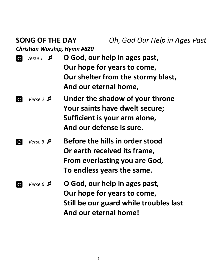*Christian Worship, Hymn #820*

|             | $Verse1$ $\Box$         | O God, our help in ages past,                                     |
|-------------|-------------------------|-------------------------------------------------------------------|
|             |                         | Our hope for years to come,                                       |
|             |                         | Our shelter from the stormy blast,                                |
|             |                         | And our eternal home,                                             |
| $\mathbf C$ | Verse 2                 | Under the shadow of your throne<br>Your saints have dwelt secure; |
|             |                         | Sufficient is your arm alone,                                     |
|             |                         | And our defense is sure.                                          |
| C           | $Verse 3 \n\mathcal{A}$ | Before the hills in order stood                                   |
|             |                         | Or earth received its frame,                                      |
|             |                         | From everlasting you are God,                                     |
|             |                         | To endless years the same.                                        |
|             |                         |                                                                   |

 *Verse 6*  **O God, our help in ages past, Our hope for years to come, Still be our guard while troubles last And our eternal home!**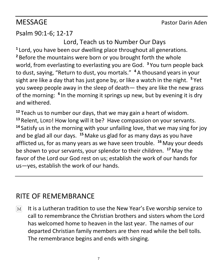#### MESSAGE Pastor Darin Aden

#### Psalm 90:1-6; 12-17

Lord, Teach us to Number Our Days **1** Lord, you have been our dwelling place throughout all generations. **<sup>2</sup>** Before the mountains were born or you brought forth the whole world, from everlasting to everlasting you are God. **<sup>3</sup>** You turn people back to dust, saying, "Return to dust, you mortals." **<sup>4</sup>** A thousand years in your sight are like a day that has just gone by, or like a watch in the night. **<sup>5</sup>** Yet you sweep people away in the sleep of death— they are like the new grass of the morning: <sup>6</sup> In the morning it springs up new, but by evening it is dry and withered.

**<sup>12</sup>** Teach us to number our days, that we may gain a heart of wisdom. **<sup>13</sup>** Relent, LORD! How long will it be? Have compassion on your servants. **<sup>14</sup>** Satisfy us in the morning with your unfailing love, that we may sing for joy and be glad all our days. **<sup>15</sup>** Make us glad for as many days as you have afflicted us, for as many years as we have seen trouble. **<sup>16</sup>** May your deeds be shown to your servants, your splendor to their children. **<sup>17</sup>** May the favor of the Lord our God rest on us; establish the work of our hands for us—yes, establish the work of our hands.

#### RITE OF REMEMBRANCE

It is a Lutheran tradition to use the New Year's Eve worship service to  $\lceil \text{M} \rceil$ call to remembrance the Christian brothers and sisters whom the Lord has welcomed home to heaven in the last year. The names of our departed Christian family members are then read while the bell tolls. The remembrance begins and ends with singing.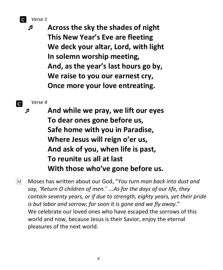*Verse 1*

 **Across the sky the shades of night This New Year's Eve are fleeting We deck your altar, Lord, with light In solemn worship meeting, And, as the year's last hours go by, We raise to you our earnest cry, Once more your love entreating.**

*Verse 4*

 **And while we pray, we lift our eyes To dear ones gone before us, Safe home with you in Paradise, Where Jesus will reign o'er us, And ask of you, when life is past, To reunite us all at last With those who've gone before us.**

Moses has written about our God, "*You turn man back into dust and*   $M<sub>l</sub>$ *say, 'Return O children of men.' …As for the days of our life, they contain seventy years, or if due to strength, eighty years, yet their pride is but labor and sorrow; for soon it is gone and we fly away*." We celebrate our loved ones who have escaped the sorrows of this world and now, because Jesus is their Savior, enjoy the eternal pleasures of the next world.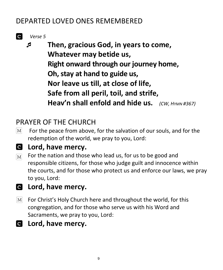#### DEPARTED LOVED ONES REMEMBERED

*Verse 5*

 **Then, gracious God, in years to come, Whatever may betide us, Right onward through our journey home, Oh, stay at hand to guide us, Nor leave us till, at close of life, Safe from all peril, toil, and strife, Heav'n shall enfold and hide us.** *(CW, <sup>H</sup>YMN #367)*

# PRAYER OF THE CHURCH

 $|M|$ For the peace from above, for the salvation of our souls, and for the redemption of the world, we pray to you, Lord:



#### **Lord, have mercy.**

- For the nation and those who lead us, for us to be good and  $\boxed{\text{M}}$ responsible citizens, for those who judge guilt and innocence within the courts, and for those who protect us and enforce our laws, we pray to you, Lord:
- **Lord, have mercy.**
- For Christ's Holy Church here and throughout the world, for this  $\vert\mathrm{M}\vert$ congregation, and for those who serve us with his Word and Sacraments, we pray to you, Lord:
- **Lord, have mercy.**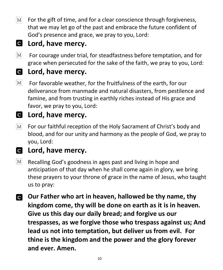$\lceil \text{M} \rceil$ For the gift of time, and for a clear conscience through forgiveness, that we may let go of the past and embrace the future confident of God's presence and grace, we pray to you, Lord:

# **Lord, have mercy.**

 $\boxed{\text{M}}$ For courage under trial, for steadfastness before temptation, and for grace when persecuted for the sake of the faith, we pray to you, Lord:

# **Lord, have mercy.**

 $|M|$ For favorable weather, for the fruitfulness of the earth, for our deliverance from manmade and natural disasters, from pestilence and famine, and from trusting in earthly riches instead of His grace and favor, we pray to you, Lord:

#### **Lord, have mercy.**

For our faithful reception of the Holy Sacrament of Christ's body and  $\lceil \text{M} \rceil$ blood, and for our unity and harmony as the people of God, we pray to you, Lord:

#### **Lord, have mercy.**

- $\lceil \text{M} \rceil$ Recalling God's goodness in ages past and living in hope and anticipation of that day when he shall come again in glory, we bring these prayers to your throne of grace in the name of Jesus, who taught us to pray:
- **Our Father who art in heaven, hallowed be thy name, thy kingdom come, thy will be done on earth as it is in heaven. Give us this day our daily bread; and forgive us our trespasses, as we forgive those who trespass against us; And lead us not into temptation, but deliver us from evil. For thine is the kingdom and the power and the glory forever and ever. Amen.**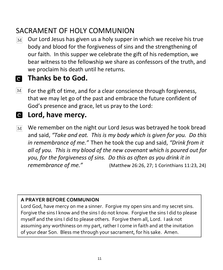## SACRAMENT OF HOLY COMMUNION

- Our Lord Jesus has given us a holy supper in which we receive his true  $\lceil \mathbf{M} \rceil$ body and blood for the forgiveness of sins and the strengthening of our faith. In this supper we celebrate the gift of his redemption, we bear witness to the fellowship we share as confessors of the truth, and we proclaim his death until he returns.
- **Thanks be to God.**
- $|M|$ For the gift of time, and for a clear conscience through forgiveness, that we may let go of the past and embrace the future confident of God's presence and grace, let us pray to the Lord:
- **Lord, have mercy.**
- We remember on the night our Lord Jesus was betrayed he took bread  $\overline{\text{M}}$ and said, *"Take and eat. This is my body which is given for you. Do this in remembrance of me."* Then he took the cup and said, *"Drink from it all of you. This is my blood of the new covenant which is poured out for you, for the forgiveness of sins. Do this as often as you drink it in remembrance of me."*(Matthew 26:26, 27; 1 Corinthians 11:23, 24)

#### **A PRAYER BEFORE COMMUNION**

Lord God, have mercy on me a sinner. Forgive my open sins and my secret sins. Forgive the sins I know and the sins I do not know. Forgive the sins I did to please myself and the sins I did to please others. Forgive them all, Lord. I ask not assuming any worthiness on my part, rather I come in faith and at the invitation of your dear Son. Bless me through your sacrament, for his sake. Amen.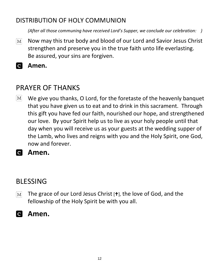#### DISTRIBUTION OF HOLY COMMUNION

*(After all those communing have received Lord's Supper, we conclude our celebration: )*

- Now may this true body and blood of our Lord and Savior Jesus Christ  $\boxed{\text{M}}$ strengthen and preserve you in the true faith unto life everlasting. Be assured, your sins are forgiven.
- **Amen.**

#### PRAYER OF THANKS

- $\lceil \text{M} \rceil$ We give you thanks, O Lord, for the foretaste of the heavenly banquet that you have given us to eat and to drink in this sacrament. Through this gift you have fed our faith, nourished our hope, and strengthened our love. By your Spirit help us to live as your holy people until that day when you will receive us as your guests at the wedding supper of the Lamb, who lives and reigns with you and the Holy Spirit, one God, now and forever.
- **Amen.**

#### BLESSING

- The grace of our Lord Jesus Christ  $[t]$ , the love of God, and the  $\lvert\mathrm{M}\rvert$ fellowship of the Holy Spirit be with you all.
- **Amen.**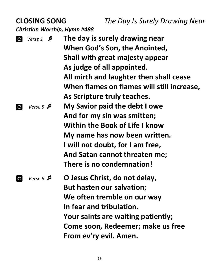**CLOSING SONG** *The Day Is Surely Drawing Near Christian Worship, Hymn #488*

 *Verse 1*  **The day is surely drawing near When God's Son, the Anointed, Shall with great majesty appear As judge of all appointed. All mirth and laughter then shall cease When flames on flames will still increase, As Scripture truly teaches.** *Verse 5*  **My Savior paid the debt I owe And for my sin was smitten; Within the Book of Life I know My name has now been written. I will not doubt, for I am free, And Satan cannot threaten me; There is no condemnation!** *Verse 6*  **O Jesus Christ, do not delay, But hasten our salvation; We often tremble on our way In fear and tribulation. Your saints are waiting patiently; Come soon, Redeemer; make us free From ev'ry evil. Amen.**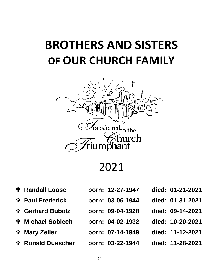# **BROTHERS AND SISTERS OF OUR CHURCH FAMILY**



2021

- 
- 
- 
- 
- 
- **Ronald Duescher born: 03-22-1944 died: 11-28-2021**
- **Randall Loose born: 12-27-1947 died: 01-21-2021**
- **Paul Frederick born: 03-06-1944 died: 01-31-2021**
	-
- **Michael Sobiech born: 04-02-1932 died: 10-20-2021**
	-
	-
- 
- 
- **Gerhard Bubolz born: 09-04-1928 died: 09-14-2021**
	-
- **Mary Zeller born: 07-14-1949 died: 11-12-2021**
	-